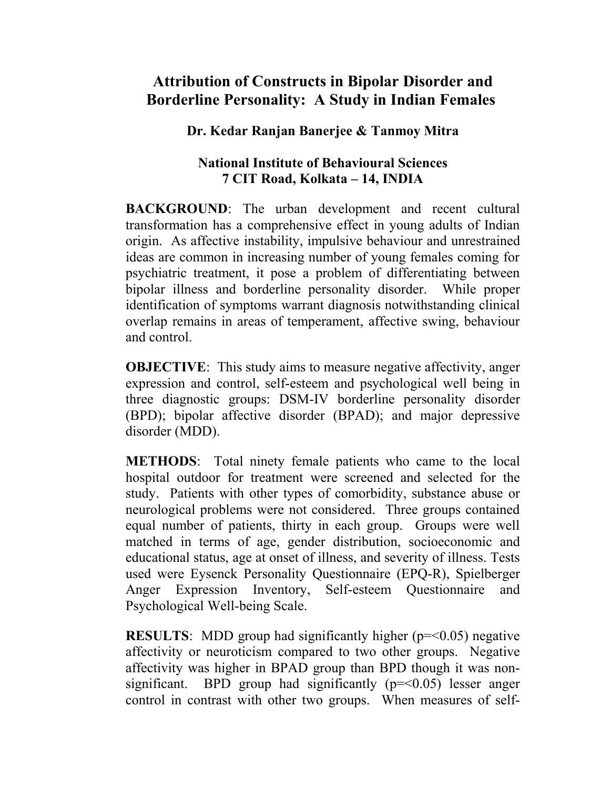## **Attribution of Constructs in Bipolar Disorder and Borderline Personality: A Study in Indian Females**

**Dr. Kedar Ranjan Banerjee & Tanmoy Mitra**

## **National Institute of Behavioural Sciences 7 CIT Road, Kolkata – 14, INDIA**

**BACKGROUND:** The urban development and recent cultural transformation has a comprehensive effect in young adults of Indian origin. As affective instability, impulsive behaviour and unrestrained ideas are common in increasing number of young females coming for psychiatric treatment, it pose a problem of differentiating between bipolar illness and borderline personality disorder. While proper identification of symptoms warrant diagnosis notwithstanding clinical overlap remains in areas of temperament, affective swing, behaviour and control.

**OBJECTIVE:** This study aims to measure negative affectivity, anger expression and control, self-esteem and psychological well being in three diagnostic groups: DSM-IV borderline personality disorder (BPD); bipolar affective disorder (BPAD); and major depressive disorder (MDD).

**METHODS**: Total ninety female patients who came to the local hospital outdoor for treatment were screened and selected for the study. Patients with other types of comorbidity, substance abuse or neurological problems were not considered. Three groups contained equal number of patients, thirty in each group. Groups were well matched in terms of age, gender distribution, socioeconomic and educational status, age at onset of illness, and severity of illness. Tests used were Eysenck Personality Questionnaire (EPQ-R), Spielberger Anger Expression Inventory, Self-esteem Questionnaire and Psychological Well-being Scale.

**RESULTS**: MDD group had significantly higher (p=<0.05) negative affectivity or neuroticism compared to two other groups. Negative affectivity was higher in BPAD group than BPD though it was nonsignificant. BPD group had significantly  $(p=<0.05)$  lesser anger control in contrast with other two groups. When measures of self-